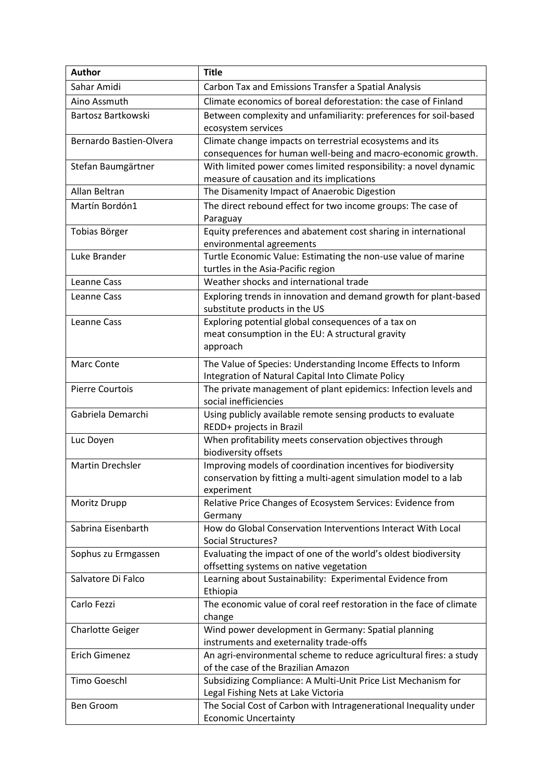| <b>Author</b>           | <b>Title</b>                                                                                             |
|-------------------------|----------------------------------------------------------------------------------------------------------|
| Sahar Amidi             | Carbon Tax and Emissions Transfer a Spatial Analysis                                                     |
| Aino Assmuth            | Climate economics of boreal deforestation: the case of Finland                                           |
| Bartosz Bartkowski      | Between complexity and unfamiliarity: preferences for soil-based                                         |
|                         | ecosystem services                                                                                       |
| Bernardo Bastien-Olvera | Climate change impacts on terrestrial ecosystems and its                                                 |
|                         | consequences for human well-being and macro-economic growth.                                             |
| Stefan Baumgärtner      | With limited power comes limited responsibility: a novel dynamic                                         |
|                         | measure of causation and its implications                                                                |
| Allan Beltran           | The Disamenity Impact of Anaerobic Digestion                                                             |
| Martín Bordón1          | The direct rebound effect for two income groups: The case of                                             |
|                         | Paraguay                                                                                                 |
| Tobias Börger           | Equity preferences and abatement cost sharing in international                                           |
|                         | environmental agreements                                                                                 |
| Luke Brander            | Turtle Economic Value: Estimating the non-use value of marine                                            |
|                         | turtles in the Asia-Pacific region                                                                       |
| Leanne Cass             | Weather shocks and international trade                                                                   |
| Leanne Cass             | Exploring trends in innovation and demand growth for plant-based                                         |
|                         | substitute products in the US                                                                            |
| Leanne Cass             | Exploring potential global consequences of a tax on                                                      |
|                         | meat consumption in the EU: A structural gravity                                                         |
|                         | approach                                                                                                 |
| Marc Conte              | The Value of Species: Understanding Income Effects to Inform                                             |
|                         | Integration of Natural Capital Into Climate Policy                                                       |
| <b>Pierre Courtois</b>  | The private management of plant epidemics: Infection levels and                                          |
|                         | social inefficiencies                                                                                    |
| Gabriela Demarchi       | Using publicly available remote sensing products to evaluate                                             |
|                         | REDD+ projects in Brazil                                                                                 |
| Luc Doyen               | When profitability meets conservation objectives through<br>biodiversity offsets                         |
| <b>Martin Drechsler</b> | Improving models of coordination incentives for biodiversity                                             |
|                         | conservation by fitting a multi-agent simulation model to a lab                                          |
|                         | experiment                                                                                               |
| Moritz Drupp            | Relative Price Changes of Ecosystem Services: Evidence from                                              |
|                         | Germany                                                                                                  |
| Sabrina Eisenbarth      | How do Global Conservation Interventions Interact With Local                                             |
|                         | Social Structures?                                                                                       |
| Sophus zu Ermgassen     | Evaluating the impact of one of the world's oldest biodiversity                                          |
|                         | offsetting systems on native vegetation                                                                  |
| Salvatore Di Falco      | Learning about Sustainability: Experimental Evidence from                                                |
|                         | Ethiopia                                                                                                 |
| Carlo Fezzi             | The economic value of coral reef restoration in the face of climate                                      |
|                         | change                                                                                                   |
| Charlotte Geiger        | Wind power development in Germany: Spatial planning                                                      |
|                         | instruments and exeternality trade-offs                                                                  |
| Erich Gimenez           | An agri-environmental scheme to reduce agricultural fires: a study                                       |
|                         | of the case of the Brazilian Amazon                                                                      |
| Timo Goeschl            | Subsidizing Compliance: A Multi-Unit Price List Mechanism for                                            |
| Ben Groom               | Legal Fishing Nets at Lake Victoria<br>The Social Cost of Carbon with Intragenerational Inequality under |
|                         | <b>Economic Uncertainty</b>                                                                              |
|                         |                                                                                                          |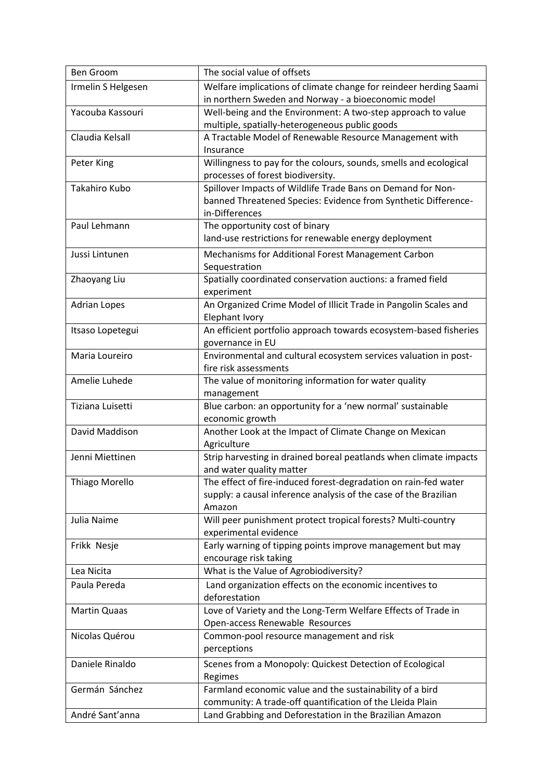| Ben Groom             | The social value of offsets                                       |
|-----------------------|-------------------------------------------------------------------|
| Irmelin S Helgesen    | Welfare implications of climate change for reindeer herding Saami |
|                       | in northern Sweden and Norway - a bioeconomic model               |
| Yacouba Kassouri      | Well-being and the Environment: A two-step approach to value      |
|                       | multiple, spatially-heterogeneous public goods                    |
| Claudia Kelsall       | A Tractable Model of Renewable Resource Management with           |
|                       | Insurance                                                         |
| Peter King            | Willingness to pay for the colours, sounds, smells and ecological |
|                       | processes of forest biodiversity.                                 |
| Takahiro Kubo         | Spillover Impacts of Wildlife Trade Bans on Demand for Non-       |
|                       | banned Threatened Species: Evidence from Synthetic Difference-    |
|                       | in-Differences                                                    |
| Paul Lehmann          | The opportunity cost of binary                                    |
|                       | land-use restrictions for renewable energy deployment             |
| Jussi Lintunen        | Mechanisms for Additional Forest Management Carbon                |
|                       | Sequestration                                                     |
| Zhaoyang Liu          | Spatially coordinated conservation auctions: a framed field       |
|                       | experiment                                                        |
| <b>Adrian Lopes</b>   | An Organized Crime Model of Illicit Trade in Pangolin Scales and  |
|                       | Elephant Ivory                                                    |
| Itsaso Lopetegui      | An efficient portfolio approach towards ecosystem-based fisheries |
|                       | governance in EU                                                  |
| Maria Loureiro        | Environmental and cultural ecosystem services valuation in post-  |
|                       | fire risk assessments                                             |
| Amelie Luhede         | The value of monitoring information for water quality             |
|                       | management                                                        |
| Tiziana Luisetti      | Blue carbon: an opportunity for a 'new normal' sustainable        |
|                       | economic growth                                                   |
| David Maddison        | Another Look at the Impact of Climate Change on Mexican           |
|                       | Agriculture                                                       |
| Jenni Miettinen       | Strip harvesting in drained boreal peatlands when climate impacts |
|                       | and water quality matter                                          |
| <b>Thiago Morello</b> | The effect of fire-induced forest-degradation on rain-fed water   |
|                       | supply: a causal inference analysis of the case of the Brazilian  |
|                       | Amazon                                                            |
| Julia Naime           | Will peer punishment protect tropical forests? Multi-country      |
|                       | experimental evidence                                             |
| Frikk Nesje           | Early warning of tipping points improve management but may        |
|                       | encourage risk taking                                             |
| Lea Nicita            | What is the Value of Agrobiodiversity?                            |
| Paula Pereda          | Land organization effects on the economic incentives to           |
|                       | deforestation                                                     |
| <b>Martin Quaas</b>   | Love of Variety and the Long-Term Welfare Effects of Trade in     |
|                       | Open-access Renewable Resources                                   |
| Nicolas Quérou        | Common-pool resource management and risk                          |
|                       | perceptions                                                       |
| Daniele Rinaldo       | Scenes from a Monopoly: Quickest Detection of Ecological          |
|                       | Regimes                                                           |
| Germán Sánchez        | Farmland economic value and the sustainability of a bird          |
|                       | community: A trade-off quantification of the Lleida Plain         |
| André Sant'anna       | Land Grabbing and Deforestation in the Brazilian Amazon           |